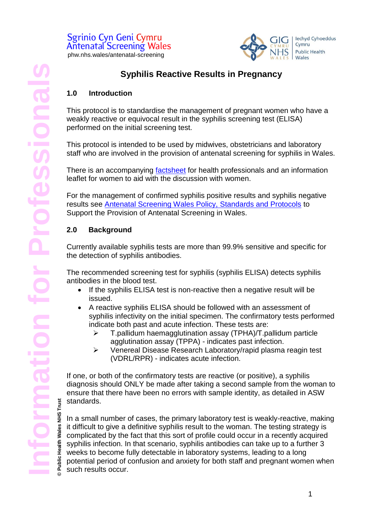**© Public Health Wales NHS Trust**

**Health Wales** 

Public H

**Contract Contract** 

Trust

**Dol** 



# **Syphilis Reactive Results in Pregnancy**

#### **1.0 Introduction**

This protocol is to standardise the management of pregnant women who have a weakly reactive or equivocal result in the syphilis screening test (ELISA) performed on the initial screening test.

This protocol is intended to be used by midwives, obstetricians and laboratory staff who are involved in the provision of antenatal screening for syphilis in Wales.

There is an accompanying [factsheet](https://phw.nhs.wales/services-and-teams/screening/antenatal-screening-wales/information-for-professionals/) for health professionals and an information leaflet for women to aid with the discussion with women.

For the management of confirmed syphilis positive results and syphilis negative results see [Antenatal Screening Wales Policy,](https://phw.nhs.wales/services-and-teams/screening/antenatal-screening-wales/information-for-professionals/) Standards and Protocols to Support the Provision of Antenatal Screening in Wales.

#### **2.0 Background**

Currently available syphilis tests are more than 99.9% sensitive and specific for the detection of syphilis antibodies.

The recommended screening test for syphilis (syphilis ELISA) detects syphilis antibodies in the blood test.

- If the syphilis ELISA test is non-reactive then a negative result will be issued.
- A reactive syphilis ELISA should be followed with an assessment of syphilis infectivity on the initial specimen. The confirmatory tests performed indicate both past and acute infection. These tests are:
	- T.pallidum haemagglutination assay (TPHA)/T.pallidum particle agglutination assay (TPPA) - indicates past infection.
	- Venereal Disease Research Laboratory/rapid plasma reagin test (VDRL/RPR) - indicates acute infection.

If one, or both of the confirmatory tests are reactive (or positive), a syphilis diagnosis should ONLY be made after taking a second sample from the woman to ensure that there have been no errors with sample identity, as detailed in ASW standards.

In a small number of cases, the primary laboratory test is weakly-reactive, making it difficult to give a definitive syphilis result to the woman. The testing strategy is complicated by the fact that this sort of profile could occur in a recently acquired syphilis infection. In that scenario, syphilis antibodies can take up to a further 3 weeks to become fully detectable in laboratory systems, leading to a long potential period of confusion and anxiety for both staff and pregnant women when such results occur.

1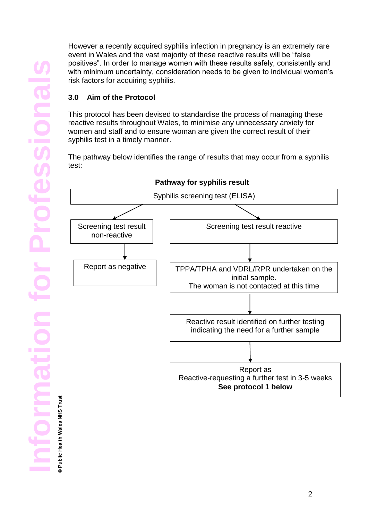However a recently acquired syphilis infection in pregnancy is an extremely rare event in Wales and the vast majority of these reactive results will be "false positives". In order to manage women with these results safely, consistently and with minimum uncertainty, consideration needs to be given to individual women's risk factors for acquiring syphilis.

## **3.0 Aim of the Protocol**

This protocol has been devised to standardise the process of managing these reactive results throughout Wales, to minimise any unnecessary anxiety for women and staff and to ensure woman are given the correct result of their syphilis test in a timely manner.

The pathway below identifies the range of results that may occur from a syphilis test: